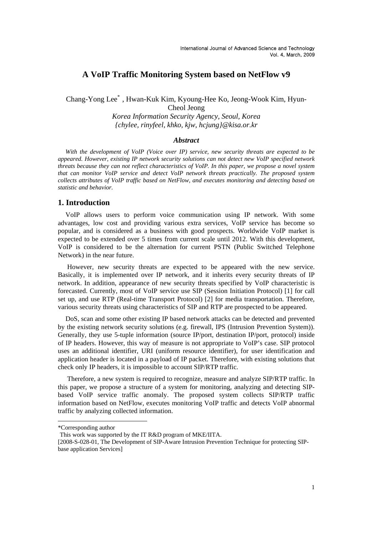# **A VoIP Traffic Monitoring System based on NetFlow v9**

# Chang-Yong Lee\*, Hwan-Kuk Kim, Kyoung-Hee Ko, Jeong-Wook Kim, Hyun-Cheol Jeong

*Korea Information Security Agency, Seoul, Korea {chylee, rinyfeel, khko, kjw, hcjung}@kisa.or.kr* 

### *Abstract*

*With the development of VoIP (Voice over IP) service, new security threats are expected to be appeared. However, existing IP network security solutions can not detect new VoIP specified network threats because they can not reflect characteristics of VoIP. In this paper, we propose a novel system that can monitor VoIP service and detect VoIP network threats practically. The proposed system collects attributes of VoIP traffic based on NetFlow, and executes monitoring and detecting based on statistic and behavior.* 

### **1. Introduction**

VoIP allows users to perform voice communication using IP network. With some advantages, low cost and providing various extra services, VoIP service has become so popular, and is considered as a business with good prospects. Worldwide VoIP market is expected to be extended over 5 times from current scale until 2012. With this development, VoIP is considered to be the alternation for current PSTN (Public Switched Telephone Network) in the near future.

 However, new security threats are expected to be appeared with the new service. Basically, it is implemented over IP network, and it inherits every security threats of IP network. In addition, appearance of new security threats specified by VoIP characteristic is forecasted. Currently, most of VoIP service use SIP (Session Initiation Protocol) [1] for call set up, and use RTP (Real-time Transport Protocol) [2] for media transportation. Therefore, various security threats using characteristics of SIP and RTP are prospected to be appeared.

DoS, scan and some other existing IP based network attacks can be detected and prevented by the existing network security solutions (e.g. firewall, IPS (Intrusion Prevention System)). Generally, they use 5-tuple information (source IP/port, destination IP/port, protocol) inside of IP headers. However, this way of measure is not appropriate to VoIP's case. SIP protocol uses an additional identifier, URI (uniform resource identifier), for user identification and application header is located in a payload of IP packet. Therefore, with existing solutions that check only IP headers, it is impossible to account SIP/RTP traffic.

 Therefore, a new system is required to recognize, measure and analyze SIP/RTP traffic. In this paper, we propose a structure of a system for monitoring, analyzing and detecting SIPbased VoIP service traffic anomaly. The proposed system collects SIP/RTP traffic information based on NetFlow, executes monitoring VoIP traffic and detects VoIP abnormal traffic by analyzing collected information.

 $\overline{a}$ 

<sup>\*</sup>Corresponding author

This work was supported by the IT R&D program of MKE/IITA.

<sup>[2008-</sup>S-028-01, The Development of SIP-Aware Intrusion Prevention Technique for protecting SIPbase application Services]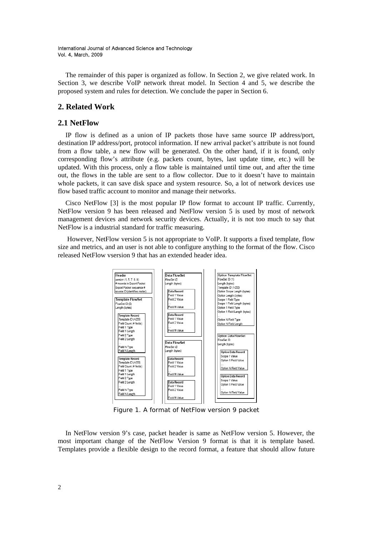The remainder of this paper is organized as follow. In Section 2, we give related work. In Section 3, we describe VoIP network threat model. In Section 4 and 5, we describe the proposed system and rules for detection. We conclude the paper in Section 6.

## **2. Related Work**

## **2.1 NetFlow**

IP flow is defined as a union of IP packets those have same source IP address/port, destination IP address/port, protocol information. If new arrival packet's attribute is not found from a flow table, a new flow will be generated. On the other hand, if it is found, only corresponding flow's attribute (e.g. packets count, bytes, last update time, etc.) will be updated. With this process, only a flow table is maintained until time out, and after the time out, the flows in the table are sent to a flow collector. Due to it doesn't have to maintain whole packets, it can save disk space and system resource. So, a lot of network devices use flow based traffic account to monitor and manage their networks.

Cisco NetFlow [3] is the most popular IP flow format to account IP traffic. Currently, NetFlow version 9 has been released and NetFlow version 5 is used by most of network management devices and network security devices. Actually, it is not too much to say that NetFlow is a industrial standard for traffic measuring.

 However, NetFlow version 5 is not appropriate to VoIP. It supports a fixed template, flow size and metrics, and an user is not able to configure anything to the format of the flow. Cisco released NetFlow vsersion 9 that has an extended header idea.



Figure 1. A format of NetFlow version 9 packet

In NetFlow version 9's case, packet header is same as NetFlow version 5. However, the most important change of the NetFlow Version 9 format is that it is template based. Templates provide a flexible design to the record format, a feature that should allow future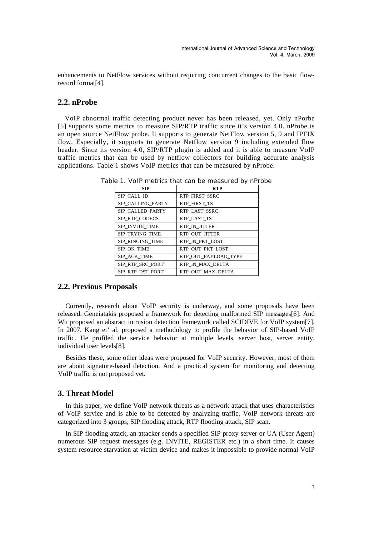enhancements to NetFlow services without requiring concurrent changes to the basic flowrecord format[4].

## **2.2. nProbe**

VoIP abnormal traffic detecting product never has been released, yet. Only nPorbe [5] supports some metrics to measure SIP/RTP traffic since it's version 4.0. nProbe is an open source NetFlow probe. It supports to generate NetFlow version 5, 9 and IPFIX flow. Especially, it supports to generate Netflow version 9 including extended flow header. Since its version 4.0, SIP/RTP plugin is added and it is able to measure VoIP traffic metrics that can be used by netflow collectors for building accurate analysis applications. Table 1 shows VoIP metrics that can be measured by nProbe.

| <b>SIP</b>        | <b>RTP</b>            |
|-------------------|-----------------------|
| SIP CALL ID       | <b>RTP FIRST SSRC</b> |
| SIP CALLING PARTY | <b>RTP FIRST TS</b>   |
| SIP CALLED PARTY  | RTP LAST SSRC         |
| SIP RTP CODECS    | RTP LAST TS           |
| SIP INVITE TIME   | RTP IN JITTER         |
| SIP TRYING TIME   | RTP OUT JITTER        |
| SIP RINGING TIME  | RTP IN PKT LOST       |
| SIP OK TIME       | RTP OUT_PKT_LOST      |
| SIP ACK TIME      | RTP OUT PAYLOAD TYPE  |
| SIP RTP SRC PORT  | RTP IN MAX DELTA      |
| SIP RTP DST PORT  | RTP OUT MAX DELTA     |

Table 1. VoIP metrics that can be measured by nProbe

## **2.2. Previous Proposals**

Currently, research about VoIP security is underway, and some proposals have been released. Geneiatakis proposed a framework for detecting malformed SIP messages[6]. And Wu proposed an abstract intrusion detection framework called SCIDIVE for VoIP system[7]. In 2007, Kang et' al. proposed a methodology to profile the behavior of SIP-based VoIP traffic. He profiled the service behavior at multiple levels, server host, server entity, individual user levels[8].

Besides these, some other ideas were proposed for VoIP security. However, most of them are about signature-based detection. And a practical system for monitoring and detecting VoIP traffic is not proposed yet.

## **3. Threat Model**

In this paper, we define VoIP network threats as a network attack that uses characteristics of VoIP service and is able to be detected by analyzing traffic. VoIP network threats are categorized into 3 groups, SIP flooding attack, RTP flooding attack, SIP scan.

In SIP flooding attack, an attacker sends a specified SIP proxy server or UA (User Agent) numerous SIP request messages (e.g. INVITE, REGISTER etc.) in a short time. It causes system resource starvation at victim device and makes it impossible to provide normal VoIP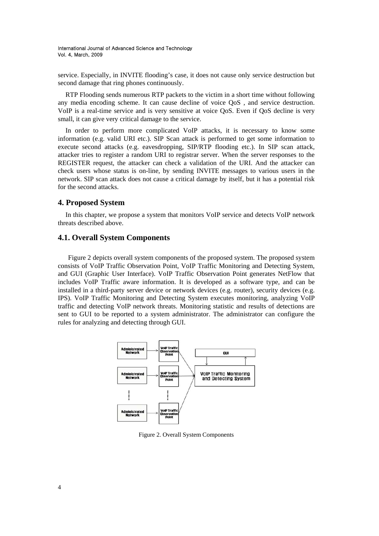service. Especially, in INVITE flooding's case, it does not cause only service destruction but second damage that ring phones continuously.

RTP Flooding sends numerous RTP packets to the victim in a short time without following any media encoding scheme. It can cause decline of voice QoS , and service destruction. VoIP is a real-time service and is very sensitive at voice QoS. Even if QoS decline is very small, it can give very critical damage to the service.

In order to perform more complicated VoIP attacks, it is necessary to know some information (e.g. valid URI etc.). SIP Scan attack is performed to get some information to execute second attacks (e.g. eavesdropping, SIP/RTP flooding etc.). In SIP scan attack, attacker tries to register a random URI to registrar server. When the server responses to the REGISTER request, the attacker can check a validation of the URI. And the attacker can check users whose status is on-line, by sending INVITE messages to various users in the network. SIP scan attack does not cause a critical damage by itself, but it has a potential risk for the second attacks.

### **4. Proposed System**

In this chapter, we propose a system that monitors VoIP service and detects VoIP network threats described above.

### **4.1. Overall System Components**

Figure 2 depicts overall system components of the proposed system. The proposed system consists of VoIP Traffic Observation Point, VoIP Traffic Monitoring and Detecting System, and GUI (Graphic User Interface). VoIP Traffic Observation Point generates NetFlow that includes VoIP Traffic aware information. It is developed as a software type, and can be installed in a third-party server device or network devices (e.g. router), security devices (e.g. IPS). VoIP Traffic Monitoring and Detecting System executes monitoring, analyzing VoIP traffic and detecting VoIP network threats. Monitoring statistic and results of detections are sent to GUI to be reported to a system administrator. The administrator can configure the rules for analyzing and detecting through GUI.



Figure 2. Overall System Components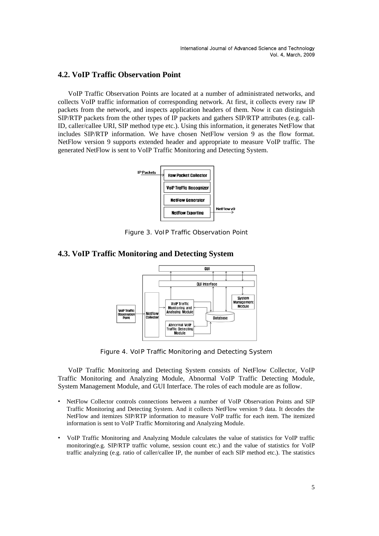# **4.2. VoIP Traffic Observation Point**

VoIP Traffic Observation Points are located at a number of administrated networks, and collects VoIP traffic information of corresponding network. At first, it collects every raw IP packets from the network, and inspects application headers of them. Now it can distinguish SIP/RTP packets from the other types of IP packets and gathers SIP/RTP attributes (e.g. call-ID, caller/callee URI, SIP method type etc.). Using this information, it generates NetFlow that includes SIP/RTP information. We have chosen NetFlow version 9 as the flow format. NetFlow version 9 supports extended header and appropriate to measure VoIP traffic. The generated NetFlow is sent to VoIP Traffic Monitoring and Detecting System.



Figure 3. VoIP Traffic Observation Point

## **4.3. VoIP Traffic Monitoring and Detecting System**



Figure 4. VoIP Traffic Monitoring and Detecting System

VoIP Traffic Monitoring and Detecting System consists of NetFlow Collector, VoIP Traffic Monitoring and Analyzing Module, Abnormal VoIP Traffic Detecting Module, System Management Module, and GUI Interface. The roles of each module are as follow.

- NetFlow Collector controls connections between a number of VoIP Observation Points and SIP Traffic Monitoring and Detecting System. And it collects NetFlow version 9 data. It decodes the NetFlow and itemizes SIP/RTP information to measure VoIP traffic for each item. The itemized information is sent to VoIP Traffic Mornitoring and Analyzing Module.
- VoIP Traffic Monitoring and Analyzing Module calculates the value of statistics for VoIP traffic monitoring(e.g. SIP/RTP traffic volume, session count etc.) and the value of statistics for VoIP traffic analyzing (e.g. ratio of caller/callee IP, the number of each SIP method etc.). The statistics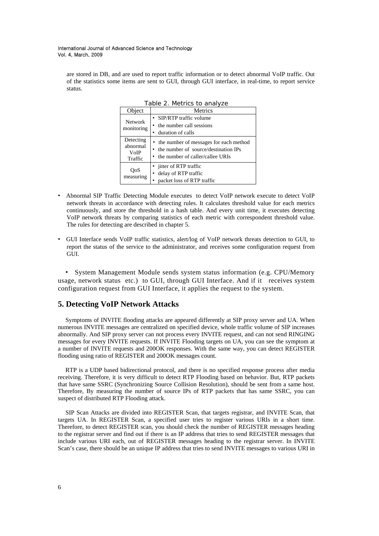are stored in DB, and are used to report traffic information or to detect abnormal VoIP traffic. Out of the statistics some items are sent to GUI, through GUI interface, in real-time, to report service status.

| Object                                   | Metrics                                                                                                                  |  |  |
|------------------------------------------|--------------------------------------------------------------------------------------------------------------------------|--|--|
| <b>Network</b><br>monitoring             | • SIP/RTP traffic volume<br>• the number call sessions<br>• duration of calls                                            |  |  |
| Detecting<br>abnormal<br>VoIP<br>Traffic | • the number of messages for each method<br>• the number of source/destination IPs<br>• the number of caller/callee URIs |  |  |
| OoS<br>measuring                         | • jitter of RTP traffic<br>delay of RTP traffic<br>$\bullet$<br>packet loss of RTP traffic                               |  |  |

Table 2. Metrics to analyze

- Abnormal SIP Traffic Detecting Module executes to detect VoIP network execute to detect VoIP network threats in accordance with detecting rules. It calculates threshold value for each metrics continuously, and store the threshold in a hash table. And every unit time, it executes detecting VoIP network threats by comparing statistics of each metric with correspondent threshold value. The rules for detecting are described in chapter 5.
- GUI Interface sends VoIP traffic statistics, alert/log of VoIP network threats detection to GUI, to report the status of the service to the administrator, and receives some configuration request from GUI.

• System Management Module sends system status information (e.g. CPU/Memory usage, network status etc.) to GUI, through GUI Interface. And if it receives system configuration request from GUI Interface, it applies the request to the system.

## **5. Detecting VoIP Network Attacks**

Symptoms of INVITE flooding attacks are appeared differently at SIP proxy server and UA. When numerous INVITE messages are centralized on specified device, whole traffic volume of SIP increases abnormally. And SIP proxy server can not process every INVITE request, and can not send RINGING messages for every INVITE requests. If INVITE Flooding targets on UA, you can see the symptom at a number of INVITE requests and 200OK responses. With the same way, you can detect REGISTER flooding using ratio of REGISTER and 200OK messages count.

RTP is a UDP based bidirectional protocol, and there is no specified response process after media receiving. Therefore, it is very difficult to detect RTP Flooding based on behavior. But, RTP packets that have same SSRC (Synchronizing Source Collision Resolution), should be sent from a same host. Therefore, By measuring the number of source IPs of RTP packets that has same SSRC, you can suspect of distributed RTP Flooding attack.

SIP Scan Attacks are divided into REGISTER Scan, that targets registrar, and INVITE Scan, that targets UA. In REGISTER Scan, a specified user tries to register various URIs in a short time. Therefore, to detect REGISTER scan, you should check the number of REGISTER messages heading to the registrar server and find out if there is an IP address that tries to send REGISTER messages that include various URI each, out of REGISTER messages heading to the registrar server. In INVITE Scan's case, there should be an unique IP address that tries to send INVITE messages to various URI in